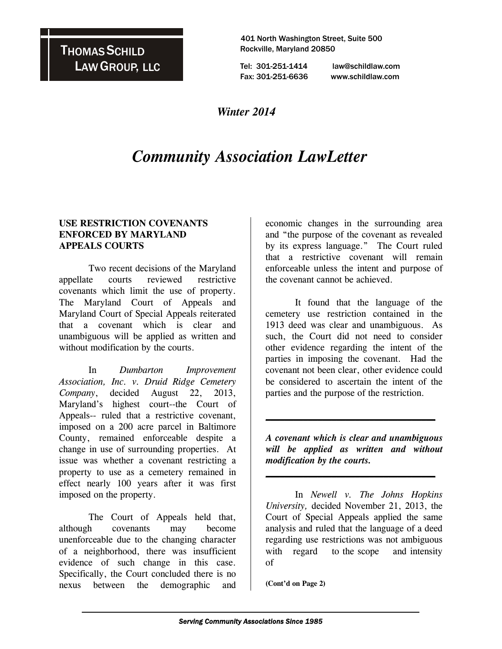# THOMAS SCHILD LAW GROUP, LLC

 401 North Washington Street, Suite 500 Rockville, Maryland 20850

 Tel: 301-251-1414 law@schildlaw.com Fax: 301-251-6636 www.schildlaw.com

## *Winter 2014*

# *Community Association LawLetter*

#### **USE RESTRICTION COVENANTS ENFORCED BY MARYLAND APPEALS COURTS**

 Two recent decisions of the Maryland appellate courts reviewed restrictive covenants which limit the use of property. The Maryland Court of Appeals and Maryland Court of Special Appeals reiterated that a covenant which is clear and unambiguous will be applied as written and without modification by the courts.

In *Dumbarton Improvement Association, Inc. v. Druid Ridge Cemetery Company*, decided August 22, 2013, Maryland's highest court--the Court of Appeals-- ruled that a restrictive covenant, imposed on a 200 acre parcel in Baltimore County, remained enforceable despite a change in use of surrounding properties. At issue was whether a covenant restricting a property to use as a cemetery remained in effect nearly 100 years after it was first imposed on the property.

The Court of Appeals held that, although covenants may become unenforceable due to the changing character of a neighborhood, there was insufficient evidence of such change in this case. Specifically, the Court concluded there is no nexus between the demographic and

economic changes in the surrounding area and "the purpose of the covenant as revealed by its express language." The Court ruled that a restrictive covenant will remain enforceable unless the intent and purpose of the covenant cannot be achieved.

It found that the language of the cemetery use restriction contained in the 1913 deed was clear and unambiguous. As such, the Court did not need to consider other evidence regarding the intent of the parties in imposing the covenant. Had the covenant not been clear, other evidence could be considered to ascertain the intent of the parties and the purpose of the restriction.

*A covenant which is clear and unambiguous will be applied as written and without modification by the courts.* 

**\_\_\_\_\_\_\_\_\_\_\_\_\_\_\_\_\_\_\_\_\_\_\_\_\_\_\_\_\_\_\_\_\_\_\_\_**

**\_\_\_\_\_\_\_\_\_\_\_\_\_\_\_\_\_\_\_\_\_\_\_\_\_\_\_\_\_\_\_\_\_\_\_\_**

 In *Newell v. The Johns Hopkins University,* decided November 21, 2013, the Court of Special Appeals applied the same analysis and ruled that the language of a deed regarding use restrictions was not ambiguous with regard to the scope and intensity of

**(Cont'd on Page 2)**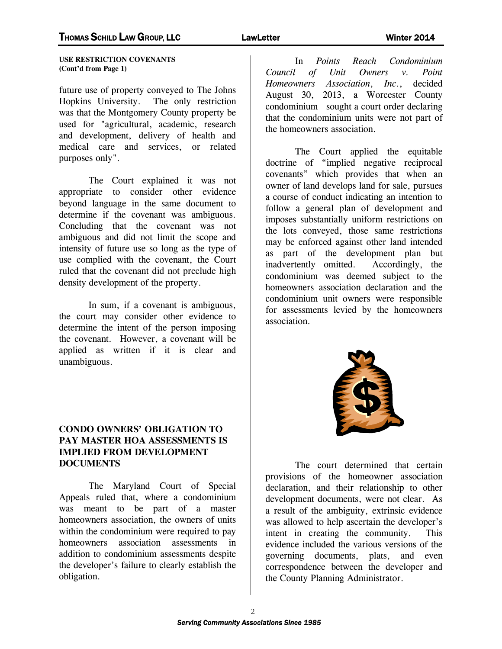**USE RESTRICTION COVENANTS (Cont'd from Page 1)** 

future use of property conveyed to The Johns Hopkins University. The only restriction was that the Montgomery County property be used for "agricultural, academic, research and development, delivery of health and medical care and services, or related purposes only".

 The Court explained it was not appropriate to consider other evidence beyond language in the same document to determine if the covenant was ambiguous. Concluding that the covenant was not ambiguous and did not limit the scope and intensity of future use so long as the type of use complied with the covenant, the Court ruled that the covenant did not preclude high density development of the property.

 In sum, if a covenant is ambiguous, the court may consider other evidence to determine the intent of the person imposing the covenant. However, a covenant will be applied as written if it is clear and unambiguous.

#### **CONDO OWNERS' OBLIGATION TO PAY MASTER HOA ASSESSMENTS IS IMPLIED FROM DEVELOPMENT DOCUMENTS**

The Maryland Court of Special Appeals ruled that, where a condominium was meant to be part of a master homeowners association, the owners of units within the condominium were required to pay homeowners association assessments in addition to condominium assessments despite the developer's failure to clearly establish the obligation.

In *Points Reach Condominium Council of Unit Owners v. Point Homeowners Association*, *Inc*., decided August 30, 2013, a Worcester County condominium sought a court order declaring that the condominium units were not part of the homeowners association.

 The Court applied the equitable doctrine of "implied negative reciprocal covenants" which provides that when an owner of land develops land for sale, pursues a course of conduct indicating an intention to follow a general plan of development and imposes substantially uniform restrictions on the lots conveyed, those same restrictions may be enforced against other land intended as part of the development plan but inadvertently omitted. Accordingly, the condominium was deemed subject to the homeowners association declaration and the condominium unit owners were responsible for assessments levied by the homeowners association.



The court determined that certain provisions of the homeowner association declaration, and their relationship to other development documents, were not clear. As a result of the ambiguity, extrinsic evidence was allowed to help ascertain the developer's intent in creating the community. This evidence included the various versions of the governing documents, plats, and even correspondence between the developer and the County Planning Administrator.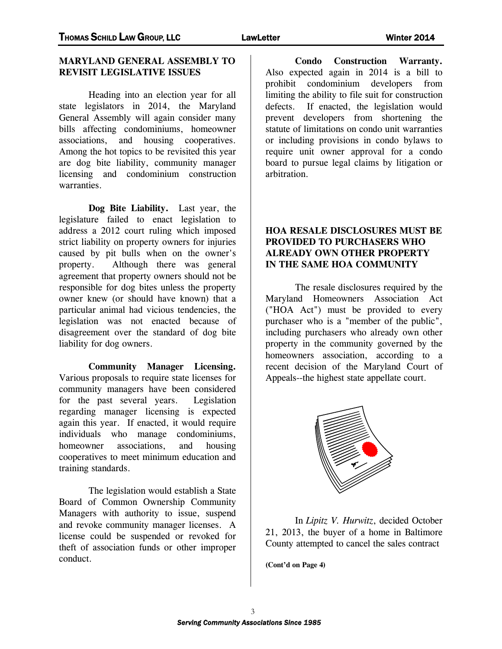### **MARYLAND GENERAL ASSEMBLY TO REVISIT LEGISLATIVE ISSUES**

 Heading into an election year for all state legislators in 2014, the Maryland General Assembly will again consider many bills affecting condominiums, homeowner associations, and housing cooperatives. Among the hot topics to be revisited this year are dog bite liability, community manager licensing and condominium construction warranties.

 **Dog Bite Liability.** Last year, the legislature failed to enact legislation to address a 2012 court ruling which imposed strict liability on property owners for injuries caused by pit bulls when on the owner's property. Although there was general agreement that property owners should not be responsible for dog bites unless the property owner knew (or should have known) that a particular animal had vicious tendencies, the legislation was not enacted because of disagreement over the standard of dog bite liability for dog owners.

 **Community Manager Licensing.**  Various proposals to require state licenses for community managers have been considered for the past several years. Legislation regarding manager licensing is expected again this year. If enacted, it would require individuals who manage condominiums, homeowner associations, and housing cooperatives to meet minimum education and training standards.

 The legislation would establish a State Board of Common Ownership Community Managers with authority to issue, suspend and revoke community manager licenses. A license could be suspended or revoked for theft of association funds or other improper conduct.

 **Condo Construction Warranty.**  Also expected again in 2014 is a bill to prohibit condominium developers from limiting the ability to file suit for construction defects. If enacted, the legislation would prevent developers from shortening the statute of limitations on condo unit warranties or including provisions in condo bylaws to require unit owner approval for a condo board to pursue legal claims by litigation or arbitration.

### **HOA RESALE DISCLOSURES MUST BE PROVIDED TO PURCHASERS WHO ALREADY OWN OTHER PROPERTY IN THE SAME HOA COMMUNITY**

 The resale disclosures required by the Maryland Homeowners Association Act ("HOA Act") must be provided to every purchaser who is a "member of the public", including purchasers who already own other property in the community governed by the homeowners association, according to a recent decision of the Maryland Court of Appeals--the highest state appellate court.



 In *Lipitz V. Hurwitz*, decided October 21, 2013, the buyer of a home in Baltimore County attempted to cancel the sales contract

**(Cont'd on Page 4)**